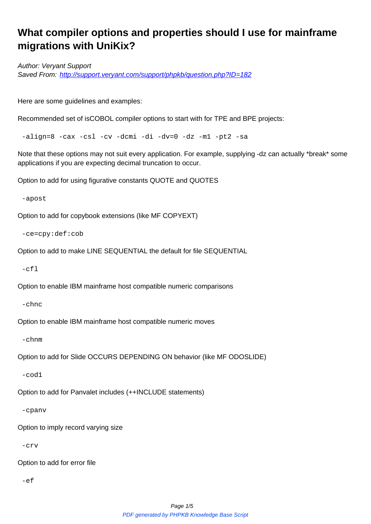## **What compiler options and properties should I use for mainframe migrations with UniKix?**

Author: Veryant Support Saved From: http://support.veryant.com/support/phpkb/question.php?ID=182

Here are som[e guidelines and examples:](http://support.veryant.com/support/phpkb/question.php?ID=182) 

Recommended set of isCOBOL compiler options to start with for TPE and BPE projects:

-align=8 -cax -csl -cv -dcmi -di -dv=0 -dz -m1 -pt2 -sa

Note that these options may not suit every application. For example, supplying -dz can actually \*break\* some applications if you are expecting decimal truncation to occur.

Option to add for using figurative constants QUOTE and QUOTES

-apost

Option to add for copybook extensions (like MF COPYEXT)

```
 -ce=cpy:def:cob
```
Option to add to make LINE SEQUENTIAL the default for file SEQUENTIAL

 $-cf<sub>l</sub>$ 

Option to enable IBM mainframe host compatible numeric comparisons

-chnc

Option to enable IBM mainframe host compatible numeric moves

-chnm

Option to add for Slide OCCURS DEPENDING ON behavior (like MF ODOSLIDE)

-cod1

Option to add for Panvalet includes (++INCLUDE statements)

-cpanv

Option to imply record varying size

-crv

Option to add for error file

-ef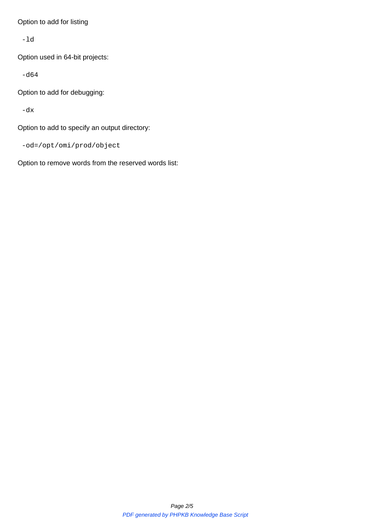-ld

Option used in 64-bit projects:

-d64

Option to add for debugging:

-dx

Option to add to specify an output directory:

-od=/opt/omi/prod/object

Option to remove words from the reserved words list: